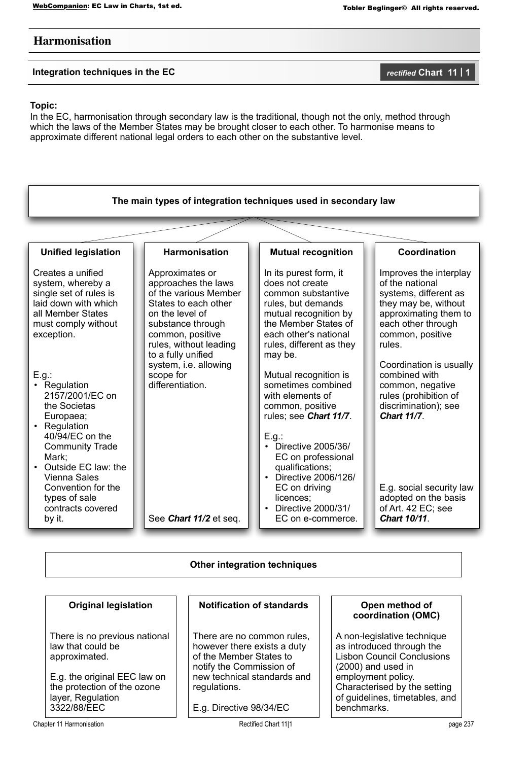# **Harmonisation**

**Integration techniques in the EC** *rectified* Chart 11 | 1

## **Topic:**

In the EC, harmonisation through secondary law is the traditional, though not the only, method through which the laws of the Member States may be brought closer to each other. To harmonise means to approximate different national legal orders to each other on the substantive level.



# **Original legislation**

There is no previous national law that could be approximated.

E.g. the original EEC law on the protection of the ozone layer, Regulation 3322/88/EEC

### **Notification of standards**

There are no common rules, however there exists a duty of the Member States to notify the Commission of new technical standards and regulations.

E.g. Directive 98/34/EC

**Open method of coordination (OMC)**

A non-legislative technique as introduced through the Lisbon Council Conclusions

Characterised by the setting of guidelines, timetables, and

(2000) and used in employment policy.

benchmarks.